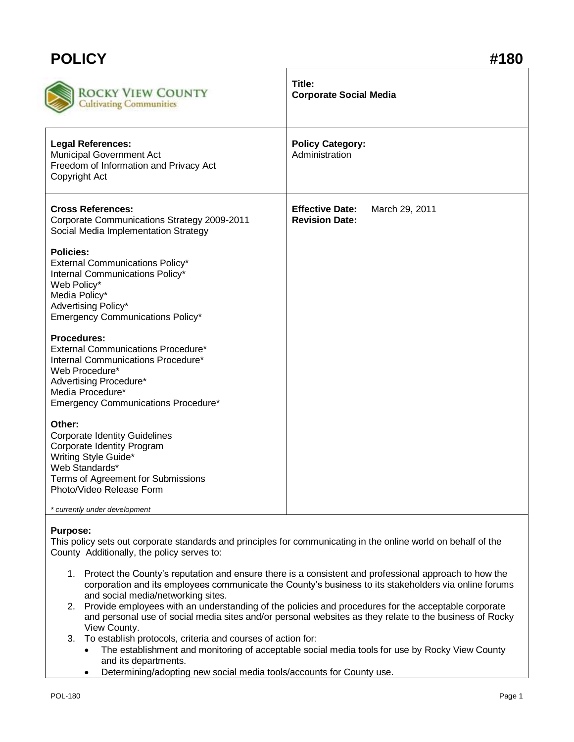## **POLICY #180**

| ROCKY VIEW COUNTY<br><b>Cultivating Communities</b>                                                                                                                                                                       | Title:<br><b>Corporate Social Media</b>                           |
|---------------------------------------------------------------------------------------------------------------------------------------------------------------------------------------------------------------------------|-------------------------------------------------------------------|
| <b>Legal References:</b><br>Municipal Government Act<br>Freedom of Information and Privacy Act<br>Copyright Act                                                                                                           | <b>Policy Category:</b><br>Administration                         |
| <b>Cross References:</b><br>Corporate Communications Strategy 2009-2011<br>Social Media Implementation Strategy                                                                                                           | <b>Effective Date:</b><br>March 29, 2011<br><b>Revision Date:</b> |
| <b>Policies:</b><br><b>External Communications Policy*</b><br>Internal Communications Policy*<br>Web Policy*<br>Media Policy*<br>Advertising Policy*<br>Emergency Communications Policy*                                  |                                                                   |
| Procedures:<br>External Communications Procedure*<br>Internal Communications Procedure*<br>Web Procedure*<br>Advertising Procedure*<br>Media Procedure*<br><b>Emergency Communications Procedure*</b>                     |                                                                   |
| Other:<br><b>Corporate Identity Guidelines</b><br>Corporate Identity Program<br>Writing Style Guide*<br>Web Standards*<br>Terms of Agreement for Submissions<br>Photo/Video Release Form<br>* currently under development |                                                                   |

## **Purpose:**

This policy sets out corporate standards and principles for communicating in the online world on behalf of the County Additionally, the policy serves to:

- 1. Protect the County's reputation and ensure there is a consistent and professional approach to how the corporation and its employees communicate the County's business to its stakeholders via online forums and social media/networking sites.
- 2. Provide employees with an understanding of the policies and procedures for the acceptable corporate and personal use of social media sites and/or personal websites as they relate to the business of Rocky View County.
- 3. To establish protocols, criteria and courses of action for:
	- The establishment and monitoring of acceptable social media tools for use by Rocky View County and its departments.
	- Determining/adopting new social media tools/accounts for County use.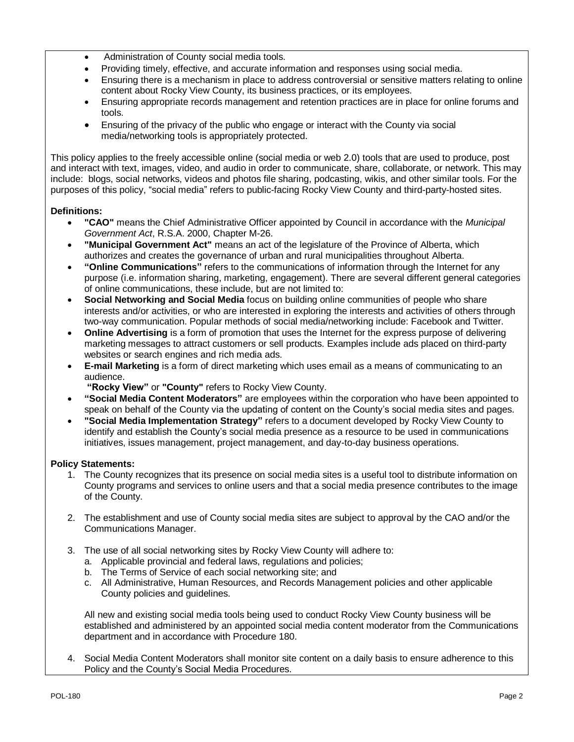- Administration of County social media tools.
- Providing timely, effective, and accurate information and responses using social media.
- Ensuring there is a mechanism in place to address controversial or sensitive matters relating to online content about Rocky View County, its business practices, or its employees.
- Ensuring appropriate records management and retention practices are in place for online forums and tools.
- Ensuring of the privacy of the public who engage or interact with the County via social media/networking tools is appropriately protected.

This policy applies to the freely accessible online (social media or web 2.0) tools that are used to produce, post and interact with text, images, video, and audio in order to communicate, share, collaborate, or network. This may include: blogs, social networks, videos and photos file sharing, podcasting, wikis, and other similar tools. For the purposes of this policy, "social media" refers to public-facing Rocky View County and third-party-hosted sites.

## **Definitions:**

- **"CAO"** means the Chief Administrative Officer appointed by Council in accordance with the *Municipal Government Act*, R.S.A. 2000, Chapter M-26.
- **"Municipal Government Act"** means an act of the legislature of the Province of Alberta, which authorizes and creates the governance of urban and rural municipalities throughout Alberta.
- **"Online Communications"** refers to the communications of information through the Internet for any purpose (i.e. information sharing, marketing, engagement). There are several different general categories of online communications, these include, but are not limited to:
- **Social Networking and Social Media** focus on building online communities of people who share interests and/or activities, or who are interested in exploring the interests and activities of others through two-way communication. Popular methods of social media/networking include: Facebook and Twitter.
- **Online Advertising** is a form of promotion that uses the Internet for the express purpose of delivering marketing messages to attract customers or sell products. Examples include ads placed on third-party websites or search engines and rich media ads.
- **E-mail Marketing** is a form of direct marketing which uses email as a means of communicating to an audience.
	- **"Rocky View"** or **"County"** refers to Rocky View County.
- **"Social Media Content Moderators"** are employees within the corporation who have been appointed to speak on behalf of the County via the updating of content on the County's social media sites and pages.
- **"Social Media Implementation Strategy"** refers to a document developed by Rocky View County to identify and establish the County's social media presence as a resource to be used in communications initiatives, issues management, project management, and day-to-day business operations.

## **Policy Statements:**

- 1. The County recognizes that its presence on social media sites is a useful tool to distribute information on County programs and services to online users and that a social media presence contributes to the image of the County.
- 2. The establishment and use of County social media sites are subject to approval by the CAO and/or the Communications Manager.
- 3. The use of all social networking sites by Rocky View County will adhere to:
	- a. Applicable provincial and federal laws, regulations and policies;
	- b. The Terms of Service of each social networking site; and
	- c. All Administrative, Human Resources, and Records Management policies and other applicable County policies and guidelines.

All new and existing social media tools being used to conduct Rocky View County business will be established and administered by an appointed social media content moderator from the Communications department and in accordance with Procedure 180.

4. Social Media Content Moderators shall monitor site content on a daily basis to ensure adherence to this Policy and the County's Social Media Procedures.